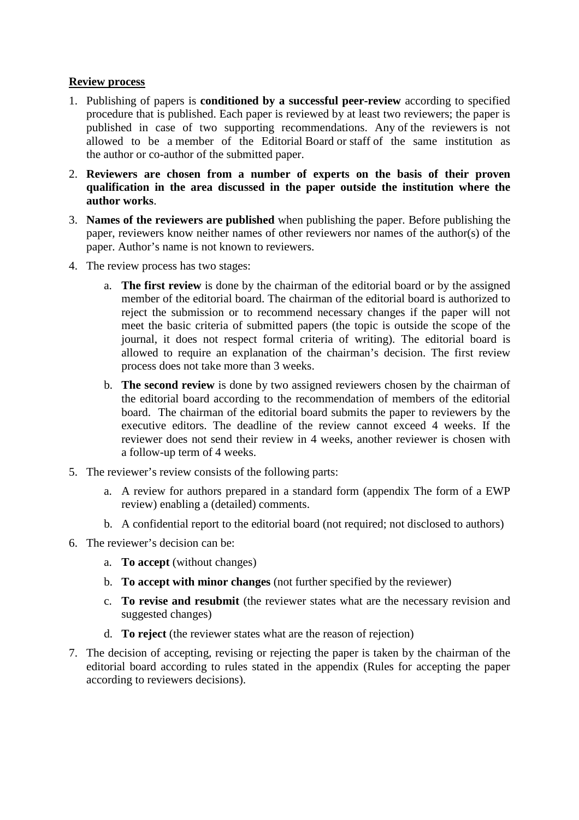## **Review process**

- 1. Publishing of papers is **conditioned by a successful peer-review** according to specified procedure that is published. Each paper is reviewed by at least two reviewers; the paper is published in case of two supporting recommendations. Any of the reviewers is not allowed to be a member of the Editorial Board or staff of the same institution as the author or co-author of the submitted paper.
- 2. **Reviewers are chosen from a number of experts on the basis of their proven qualification in the area discussed in the paper outside the institution where the author works**.
- 3. **Names of the reviewers are published** when publishing the paper. Before publishing the paper, reviewers know neither names of other reviewers nor names of the author(s) of the paper. Author's name is not known to reviewers.
- 4. The review process has two stages:
	- a. **The first review** is done by the chairman of the editorial board or by the assigned member of the editorial board. The chairman of the editorial board is authorized to reject the submission or to recommend necessary changes if the paper will not meet the basic criteria of submitted papers (the topic is outside the scope of the journal, it does not respect formal criteria of writing). The editorial board is allowed to require an explanation of the chairman's decision. The first review process does not take more than 3 weeks.
	- b. **The second review** is done by two assigned reviewers chosen by the chairman of the editorial board according to the recommendation of members of the editorial board. The chairman of the editorial board submits the paper to reviewers by the executive editors. The deadline of the review cannot exceed 4 weeks. If the reviewer does not send their review in 4 weeks, another reviewer is chosen with a follow-up term of 4 weeks.
- 5. The reviewer's review consists of the following parts:
	- a. A review for authors prepared in a standard form (appendix The form of a EWP review) enabling a (detailed) comments.
	- b. A confidential report to the editorial board (not required; not disclosed to authors)
- 6. The reviewer's decision can be:
	- a. **To accept** (without changes)
	- b. **To accept with minor changes** (not further specified by the reviewer)
	- c. **To revise and resubmit** (the reviewer states what are the necessary revision and suggested changes)
	- d. **To reject** (the reviewer states what are the reason of rejection)
- 7. The decision of accepting, revising or rejecting the paper is taken by the chairman of the editorial board according to rules stated in the appendix (Rules for accepting the paper according to reviewers decisions).